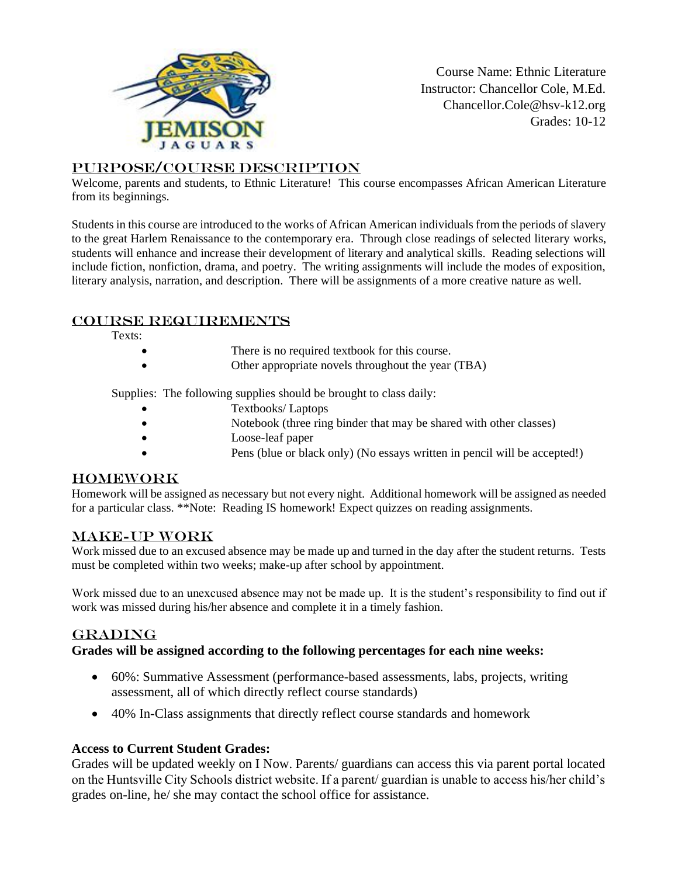

Course Name: Ethnic Literature Instructor: Chancellor Cole, M.Ed. Chancellor.Cole@hsv-k12.org Grades: 10-12

## Purpose/Course Description

Welcome, parents and students, to Ethnic Literature! This course encompasses African American Literature from its beginnings.

Students in this course are introduced to the works of African American individuals from the periods of slavery to the great Harlem Renaissance to the contemporary era. Through close readings of selected literary works, students will enhance and increase their development of literary and analytical skills. Reading selections will include fiction, nonfiction, drama, and poetry. The writing assignments will include the modes of exposition, literary analysis, narration, and description. There will be assignments of a more creative nature as well.

### Course Requirements

Texts:

- There is no required textbook for this course.
	- Other appropriate novels throughout the year (TBA)

Supplies: The following supplies should be brought to class daily:

- Textbooks/ Laptops
- Notebook (three ring binder that may be shared with other classes)
- Loose-leaf paper
	- Pens (blue or black only) (No essays written in pencil will be accepted!)

# Homework

Homework will be assigned as necessary but not every night. Additional homework will be assigned as needed for a particular class. \*\*Note: Reading IS homework! Expect quizzes on reading assignments.

### Make-up Work

Work missed due to an excused absence may be made up and turned in the day after the student returns. Tests must be completed within two weeks; make-up after school by appointment.

Work missed due to an unexcused absence may not be made up. It is the student's responsibility to find out if work was missed during his/her absence and complete it in a timely fashion.

### **GRADING**

### **Grades will be assigned according to the following percentages for each nine weeks:**

- 60%: Summative Assessment (performance-based assessments, labs, projects, writing assessment, all of which directly reflect course standards)
- 40% In-Class assignments that directly reflect course standards and homework

### **Access to Current Student Grades:**

Grades will be updated weekly on I Now. Parents/ guardians can access this via parent portal located on the Huntsville City Schools district website. If a parent/ guardian is unable to access his/her child's grades on-line, he/ she may contact the school office for assistance.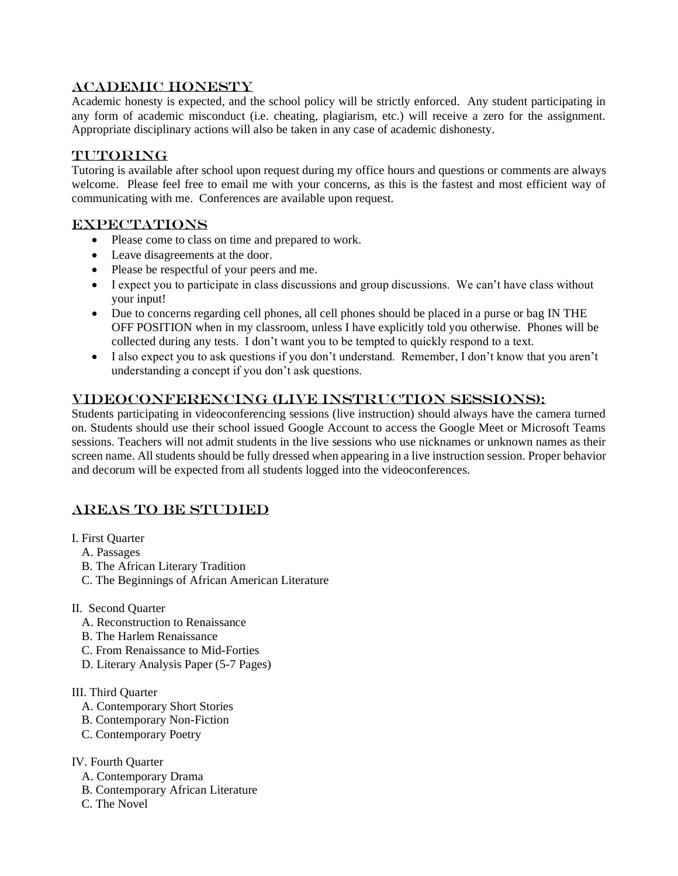# Academic Honesty

Academic honesty is expected, and the school policy will be strictly enforced. Any student participating in any form of academic misconduct (i.e. cheating, plagiarism, etc.) will receive a zero for the assignment. Appropriate disciplinary actions will also be taken in any case of academic dishonesty.

## TUTORING

Tutoring is available after school upon request during my office hours and questions or comments are always welcome. Please feel free to email me with your concerns, as this is the fastest and most efficient way of communicating with me. Conferences are available upon request.

## **EXPECTATIONS**

- Please come to class on time and prepared to work.
- Leave disagreements at the door.
- Please be respectful of your peers and me.
- I expect you to participate in class discussions and group discussions. We can't have class without your input!
- Due to concerns regarding cell phones, all cell phones should be placed in a purse or bag IN THE OFF POSITION when in my classroom, unless I have explicitly told you otherwise. Phones will be collected during any tests. I don't want you to be tempted to quickly respond to a text.
- I also expect you to ask questions if you don't understand. Remember, I don't know that you aren't understanding a concept if you don't ask questions.

# Videoconferencing (Live Instruction Sessions):

Students participating in videoconferencing sessions (live instruction) should always have the camera turned on. Students should use their school issued Google Account to access the Google Meet or Microsoft Teams sessions. Teachers will not admit students in the live sessions who use nicknames or unknown names as their screen name. All students should be fully dressed when appearing in a live instruction session. Proper behavior and decorum will be expected from all students logged into the videoconferences.

# Areas to be Studied

- I. First Quarter
	- A. Passages
	- B. The African Literary Tradition
	- C. The Beginnings of African American Literature

#### II. Second Quarter

- A. Reconstruction to Renaissance
- B. The Harlem Renaissance
- C. From Renaissance to Mid-Forties
- D. Literary Analysis Paper (5-7 Pages)

#### III. Third Quarter

- A. Contemporary Short Stories
- B. Contemporary Non-Fiction
- C. Contemporary Poetry

#### IV. Fourth Quarter

- A. Contemporary Drama
- B. Contemporary African Literature
- C. The Novel